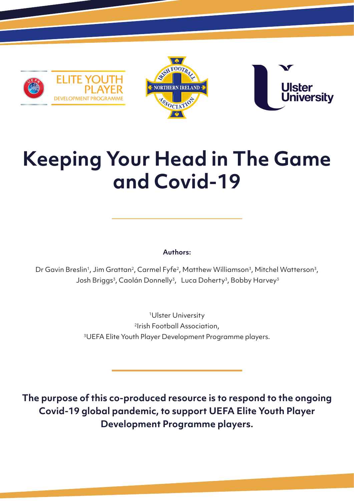





# **Keeping Your Head in The Game and Covid-19**

#### **Authors:**

Dr Gavin Breslin<sup>1</sup>, Jim Grattan<sup>2</sup>, Carmel Fyfe<sup>2</sup>, Matthew Williamson<sup>3</sup>, Mitchel Watterson<sup>3</sup>, Josh Briggs<sup>3</sup>, Caolán Donnelly<sup>3</sup>, Luca Doherty<sup>3</sup>, Bobby Harvey<sup>3</sup>

> 1Ulster University 2Irish Football Association, 3UEFA Elite Youth Player Development Programme players.

**The purpose of this co-produced resource is to respond to the ongoing Covid-19 global pandemic, to support UEFA Elite Youth Player Development Programme players.**

1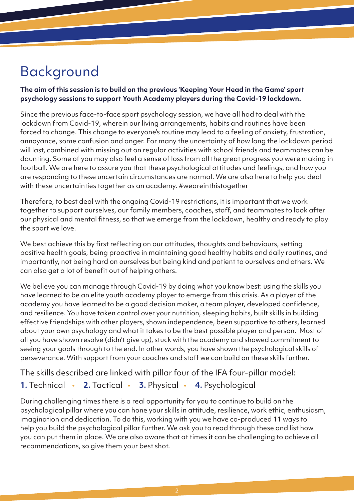## Background

#### **The aim of this session is to build on the previous 'Keeping Your Head in the Game' sport psychology sessions to support Youth Academy players during the Covid-19 lockdown.**

Since the previous face-to-face sport psychology session, we have all had to deal with the lockdown from Covid-19, wherein our living arrangements, habits and routines have been forced to change. This change to everyone's routine may lead to a feeling of anxiety, frustration, annoyance, some confusion and anger. For many the uncertainty of how long the lockdown period will last, combined with missing out on regular activities with school friends and teammates can be daunting. Some of you may also feel a sense of loss from all the great progress you were making in football. We are here to assure you that these psychological attitudes and feelings, and how you are responding to these uncertain circumstances are normal. We are also here to help you deal with these uncertainties together as an academy. #weareinthistogether

Therefore, to best deal with the ongoing Covid-19 restrictions, it is important that we work together to support ourselves, our family members, coaches, staff, and teammates to look after our physical and mental fitness, so that we emerge from the lockdown, healthy and ready to play the sport we love.

We best achieve this by first reflecting on our attitudes, thoughts and behaviours, setting positive health goals, being proactive in maintaining good healthy habits and daily routines, and importantly, not being hard on ourselves but being kind and patient to ourselves and others. We can also get a lot of benefit out of helping others.

We believe you can manage through Covid-19 by doing what you know best: using the skills you have learned to be an elite youth academy player to emerge from this crisis. As a player of the academy you have learned to be a good decision maker, a team player, developed confidence, and resilience. You have taken control over your nutrition, sleeping habits, built skills in building effective friendships with other players, shown independence, been supportive to others, learned about your own psychology and what it takes to be the best possible player and person. Most of all you have shown resolve (didn't give up), stuck with the academy and showed commitment to seeing your goals through to the end. In other words, you have shown the psychological skills of perseverance. With support from your coaches and staff we can build on these skills further.

The skills described are linked with pillar four of the IFA four-pillar model:

#### **1.** Technical • **2.** Tactical • **3.** Physical • **4.** Psychological

During challenging times there is a real opportunity for you to continue to build on the psychological pillar where you can hone your skills in attitude, resilience, work ethic, enthusiasm, imagination and dedication. To do this, working with you we have co-produced 11 ways to help you build the psychological pillar further. We ask you to read through these and list how you can put them in place. We are also aware that at times it can be challenging to achieve all recommendations, so give them your best shot.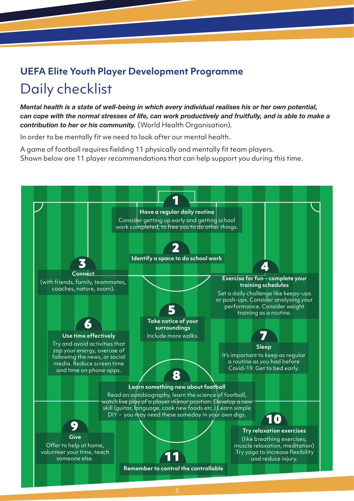### **UEFA Elite Youth Player Development Programme**  Daily checklist

*Mental health is a state of well-being in which every individual realises his or her own potential, can cope with the normal stresses of life, can work productively and fruitfully, and is able to make a contribution to her or his community.* (World Health Organisation).

In order to be mentally fit we need to look after our mental health.

A game of football requires fielding 11 physically and mentally fit team players. Shown below are 11 player recommendations that can help support you during this time.

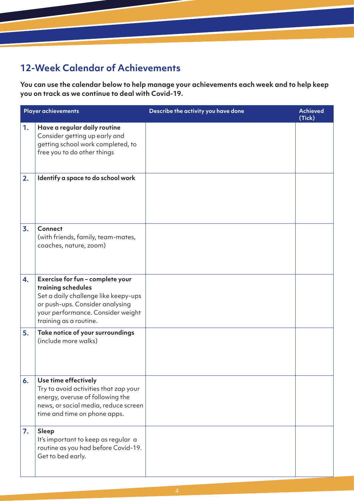#### **12-Week Calendar of Achievements**

**You can use the calendar below to help manage your achievements each week and to help keep you on track as we continue to deal with Covid-19.**

| <b>Player achievements</b> |                                                                                                                                                                                                  | Describe the activity you have done | <b>Achieved</b><br>(Tick) |
|----------------------------|--------------------------------------------------------------------------------------------------------------------------------------------------------------------------------------------------|-------------------------------------|---------------------------|
| 1.                         | Have a regular daily routine<br>Consider getting up early and<br>getting school work completed, to<br>free you to do other things                                                                |                                     |                           |
| 2.                         | Identify a space to do school work                                                                                                                                                               |                                     |                           |
| 3.                         | <b>Connect</b><br>(with friends, family, team-mates,<br>coaches, nature, zoom)                                                                                                                   |                                     |                           |
| 4.                         | Exercise for fun - complete your<br>training schedules<br>Set a daily challenge like keepy-ups<br>or push-ups. Consider analysing<br>your performance. Consider weight<br>training as a routine. |                                     |                           |
| 5.                         | Take notice of your surroundings<br>(include more walks)                                                                                                                                         |                                     |                           |
| 6.                         | Use time effectively<br>Try to avoid activities that zap your<br>energy, overuse of following the<br>news, or social media, reduce screen<br>time and time on phone apps.                        |                                     |                           |
| 7.                         | <b>Sleep</b><br>It's important to keep as regular a<br>routine as you had before Covid-19.<br>Get to bed early.                                                                                  |                                     |                           |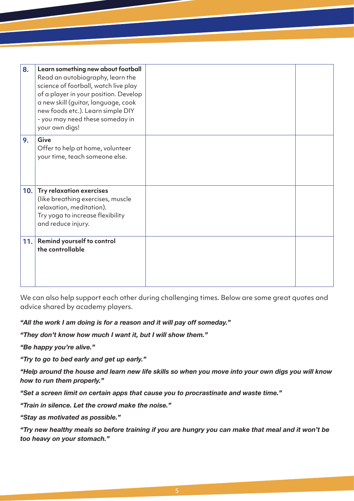| 8.  | Learn something new about football<br>Read an autobiography, learn the<br>science of football, watch live play<br>of a player in your position. Develop<br>a new skill (guitar, language, cook<br>new foods etc.). Learn simple DIY<br>- you may need these someday in<br>your own digs! |  |
|-----|------------------------------------------------------------------------------------------------------------------------------------------------------------------------------------------------------------------------------------------------------------------------------------------|--|
| 9.  | Give<br>Offer to help at home, volunteer<br>your time, teach someone else.                                                                                                                                                                                                               |  |
| 10. | <b>Try relaxation exercises</b><br>(like breathing exercises, muscle<br>relaxation, meditation).<br>Try yoga to increase flexibility<br>and reduce injury.                                                                                                                               |  |
|     | 11. Remind yourself to control<br>the controllable                                                                                                                                                                                                                                       |  |

We can also help support each other during challenging times. Below are some great quotes and advice shared by academy players.

#### *"All the work I am doing is for a reason and it will pay off someday."*

*"They don't know how much I want it, but I will show them."*

*"Be happy you're alive."* 

*"Try to go to bed early and get up early."*

*"Help around the house and learn new life skills so when you move into your own digs you will know how to run them properly."*

*"Set a screen limit on certain apps that cause you to procrastinate and waste time."*

*"Train in silence. Let the crowd make the noise."* 

*"Stay as motivated as possible."*

*"Try new healthy meals so before training if you are hungry you can make that meal and it won't be too heavy on your stomach."*